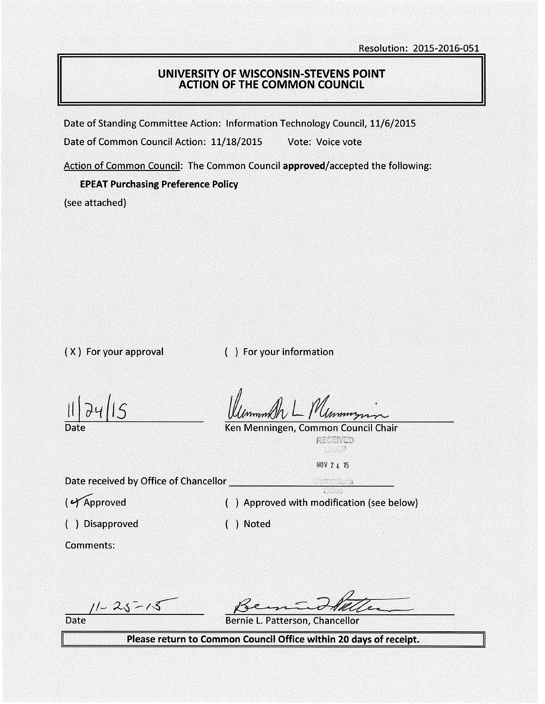## UNIVERSITY OF WISCONSIN-STEVENS POINT ACTION OF THE COMMON COUNCIL

Date of Standing Committee Action: Information Technology Council, 11/6/2015

Date of Common Council Action: 11/18/2015 Vote: Voice vote

Action of Common Council: The Common Council approved/accepted the following:

### EPEAT Purchasing Preference Policy

(see attached)

( X ) For your approval ( ) For your information

11 I *d-tt l1s* 

Ken Menningen, Common Council Chair

RECENEE an an

NOV 2 4 15

Date received by Office of Chancellor ... ,;

( $\sqrt{\text{Approved}}$  ) Approved with modification (see below)

( ) Disapproved ) Noted

Comments:

 $11 - 25 - 15$ 

Date Bernie L. Patterson, Chancellor

Please return to Common Council Office within 20 days of receipt.